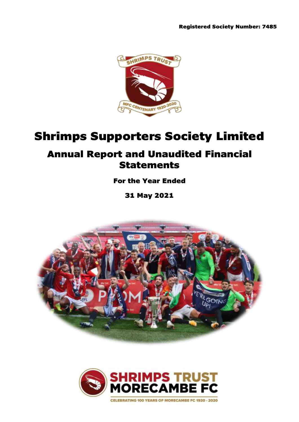

# Shrimps Supporters Society Limited

# Annual Report and Unaudited Financial Statements

# For the Year Ended

31 May 2021



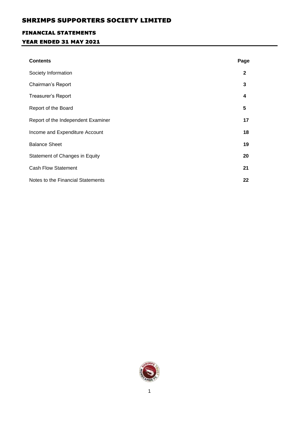# FINANCIAL STATEMENTS

# YEAR ENDED 31 MAY 2021

| <b>Contents</b>                    | Page         |
|------------------------------------|--------------|
| Society Information                | $\mathbf{2}$ |
| Chairman's Report                  | 3            |
| Treasurer's Report                 | 4            |
| Report of the Board                | 5            |
| Report of the Independent Examiner | 17           |
| Income and Expenditure Account     | 18           |
| <b>Balance Sheet</b>               | 19           |
| Statement of Changes in Equity     | 20           |
| <b>Cash Flow Statement</b>         | 21           |
| Notes to the Financial Statements  | 22           |

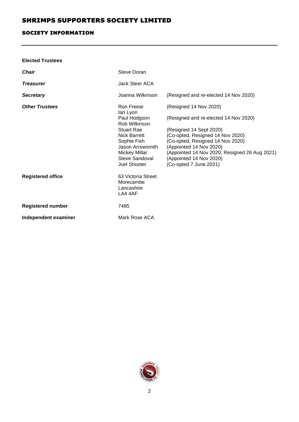### SOCIETY INFORMATION

| <b>Elected Trustees</b>  |                                                                                                                                                                                           |                                                                                                                                                                                                                                                                                                     |
|--------------------------|-------------------------------------------------------------------------------------------------------------------------------------------------------------------------------------------|-----------------------------------------------------------------------------------------------------------------------------------------------------------------------------------------------------------------------------------------------------------------------------------------------------|
| <b>Chair</b>             | Steve Doran                                                                                                                                                                               |                                                                                                                                                                                                                                                                                                     |
| <b>Treasurer</b>         | Jack Steer ACA                                                                                                                                                                            |                                                                                                                                                                                                                                                                                                     |
| <b>Secretary</b>         | Joanna Wilkinson                                                                                                                                                                          | (Resigned and re-elected 14 Nov 2020)                                                                                                                                                                                                                                                               |
| <b>Other Trustees</b>    | Ron Freear<br>lan Lyon<br>Paul Hodgson<br>Rob Wilkinson<br><b>Stuart Rae</b><br>Nick Barrett<br>Sophie Fish<br>Jason Arrowsmith<br><b>Mickey Millar</b><br>Steve Sandoval<br>Joel Shooter | (Resigned 14 Nov 2020)<br>(Resigned and re-elected 14 Nov 2020)<br>(Resigned 14 Sept 2020)<br>(Co-opted, Resigned 14 Nov 2020)<br>(Co-opted, Resigned 14 Nov 2020)<br>(Appointed 14 Nov 2020)<br>(Appointed 14 Nov 2020, Resigned 26 Aug 2021)<br>(Appointed 14 Nov 2020)<br>(Co-opted 7 June 2021) |
| <b>Registered office</b> | 63 Victoria Street<br>Morecambe<br>Lancashire<br>LA4 4AF                                                                                                                                  |                                                                                                                                                                                                                                                                                                     |
| <b>Registered number</b> | 7485                                                                                                                                                                                      |                                                                                                                                                                                                                                                                                                     |
| Independent examiner     | Mark Rose ACA                                                                                                                                                                             |                                                                                                                                                                                                                                                                                                     |

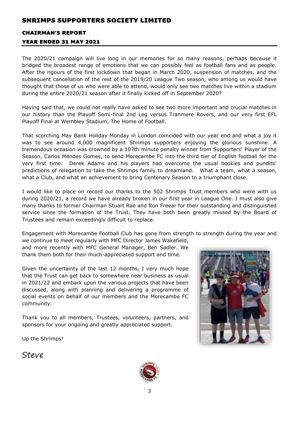### CHAIRMAN'S REPORT

### YEAR ENDED 31 MAY 2021

The 2020/21 campaign will live long in our memories for so many reasons, perhaps because it bridged the broadest range of emotions that we can possibly feel as football fans and as people. After the rigours of the first lockdown that began in March 2020, suspension of matches, and the subsequent cancellation of the rest of the 2019/20 League Two season, who among us would have thought that those of us who were able to attend, would only see two matches live within a stadium during the entire 2020/21 season after it finally kicked off in September 2020?

Having said that, we could not really have asked to see two more important and crucial matches in our history than the Playoff Semi-final 2nd Leg versus Tranmere Rovers, and our very first EFL Playoff Final at Wembley Stadium, The Home of Football.

That scorching May Bank Holiday Monday in London coincided with our year end and what a joy it was to see around 4,000 magnificent Shrimps supporters enjoying the glorious sunshine. A tremendous occasion was crowned by a 107th minute penalty winner from Supporters' Player of the Season, Carlos Mendes Gomes, to send Morecambe FC into the third tier of English football for the very first time. Derek Adams and his players had overcome the usual bookies and pundits' predictions of relegation to take the Shrimps family to dreamland. What a team, what a season, what a Club, and what an achievement to bring Centenary Season to a triumphant close.

I would like to place on record our thanks to the 502 Shrimps Trust members who were with us during 2020/21, a record we have already broken in our first year in League One. I must also give many thanks to former Chairman Stuart Rae and Ron Freear for their outstanding and distinguished service since the formation of the Trust. They have both been greatly missed by the Board of Trustees and remain exceedingly difficult to replace.

Engagement with Morecambe Football Club has gone from strength to strength during the year and

we continue to meet regularly with MFC Director James Wakefield, and more recently with MFC General Manager, Ben Sadler. We thank them both for their much-appreciated support and time.

Given the uncertainty of the last 12 months, I very much hope that the Trust can get back to somewhere near business as usual in 2021/22 and embark upon the various projects that have been discussed, along with planning and delivering a programme of social events on behalf of our members and the Morecambe FC community.

Thank you to all members, Trustees, volunteers, partners, and sponsors for your ongoing and greatly appreciated support.

Up the Shrimps!



Steve

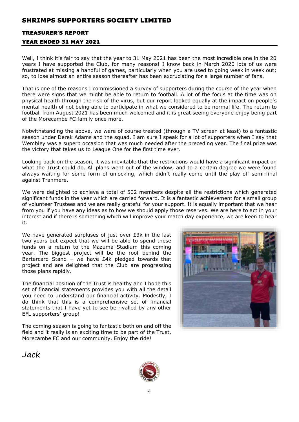### TREASURER'S REPORT

### YEAR ENDED 31 MAY 2021

Well, I think it's fair to say that the year to 31 May 2021 has been the most incredible one in the 20 years I have supported the Club, for many reasons! I know back in March 2020 lots of us were frustrated at missing a handful of games, particularly when you are used to going week in week out; so, to lose almost an entire season thereafter has been excruciating for a large number of fans.

That is one of the reasons I commissioned a survey of supporters during the course of the year when there were signs that we might be able to return to football. A lot of the focus at the time was on physical health through the risk of the virus, but our report looked equally at the impact on people's mental health of not being able to participate in what we considered to be normal life. The return to football from August 2021 has been much welcomed and it is great seeing everyone enjoy being part of the Morecambe FC family once more.

Notwithstanding the above, we were of course treated (through a TV screen at least) to a fantastic season under Derek Adams and the squad. I am sure I speak for a lot of supporters when I say that Wembley was a superb occasion that was much needed after the preceding year. The final prize was the victory that takes us to League One for the first time ever.

Looking back on the season, it was inevitable that the restrictions would have a significant impact on what the Trust could do. All plans went out of the window, and to a certain degree we were found always waiting for some form of unlocking, which didn't really come until the play off semi-final against Tranmere.

We were delighted to achieve a total of 502 members despite all the restrictions which generated significant funds in the year which are carried forward. It is a fantastic achievement for a small group of volunteer Trustees and we are really grateful for your support. It is equally important that we hear from you if you have any ideas as to how we should apply those reserves. We are here to act in your interest and if there is something which will improve your match day experience, we are keen to hear it.

We have generated surpluses of just over £3k in the last two years but expect that we will be able to spend these funds on a return to the Mazuma Stadium this coming year. The biggest project will be the roof behind the Bartercard Stand – we have £4k pledged towards that project and are delighted that the Club are progressing those plans rapidly.

The financial position of the Trust is healthy and I hope this set of financial statements provides you with all the detail you need to understand our financial activity. Modestly, I do think that this is a comprehensive set of financial statements that I have yet to see be rivalled by any other EFL supporters' group!

The coming season is going to fantastic both on and off the field and it really is an exciting time to be part of the Trust, Morecambe FC and our community. Enjoy the ride!



Jack

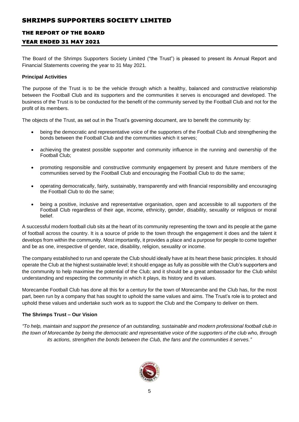### THE REPORT OF THE BOARD

### YEAR ENDED 31 MAY 2021

The Board of the Shrimps Supporters Society Limited ("the Trust") is pleased to present its Annual Report and Financial Statements covering the year to 31 May 2021.

### **Principal Activities**

The purpose of the Trust is to be the vehicle through which a healthy, balanced and constructive relationship between the Football Club and its supporters and the communities it serves is encouraged and developed. The business of the Trust is to be conducted for the benefit of the community served by the Football Club and not for the profit of its members.

The objects of the Trust, as set out in the Trust's governing document, are to benefit the community by:

- being the democratic and representative voice of the supporters of the Football Club and strengthening the bonds between the Football Club and the communities which it serves;
- achieving the greatest possible supporter and community influence in the running and ownership of the Football Club;
- promoting responsible and constructive community engagement by present and future members of the communities served by the Football Club and encouraging the Football Club to do the same;
- operating democratically, fairly, sustainably, transparently and with financial responsibility and encouraging the Football Club to do the same;
- being a positive, inclusive and representative organisation, open and accessible to all supporters of the Football Club regardless of their age, income, ethnicity, gender, disability, sexuality or religious or moral belief.

A successful modern football club sits at the heart of its community representing the town and its people at the game of football across the country. It is a source of pride to the town through the engagement it does and the talent it develops from within the community. Most importantly, it provides a place and a purpose for people to come together and be as one, irrespective of gender, race, disability, religion, sexuality or income.

The company established to run and operate the Club should ideally have at its heart these basic principles. It should operate the Club at the highest sustainable level; it should engage as fully as possible with the Club's supporters and the community to help maximise the potential of the Club; and it should be a great ambassador for the Club whilst understanding and respecting the community in which it plays, its history and its values.

Morecambe Football Club has done all this for a century for the town of Morecambe and the Club has, for the most part, been run by a company that has sought to uphold the same values and aims. The Trust's role is to protect and uphold these values and undertake such work as to support the Club and the Company to deliver on them.

### **The Shrimps Trust – Our Vision**

*"To help, maintain and support the presence of an outstanding, sustainable and modern professional football club in the town of Morecambe by being the democratic and representative voice of the supporters of the club who, through its actions, strengthen the bonds between the Club, the fans and the communities it serves."*

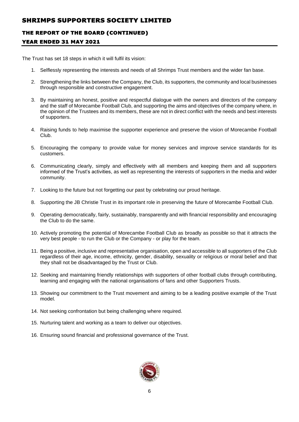### THE REPORT OF THE BOARD (CONTINUED)

### YEAR ENDED 31 MAY 2021

The Trust has set 18 steps in which it will fulfil its vision:

- 1. Selflessly representing the interests and needs of all Shrimps Trust members and the wider fan base.
- 2. Strengthening the links between the Company, the Club, its supporters, the community and local businesses through responsible and constructive engagement.
- 3. By maintaining an honest, positive and respectful dialogue with the owners and directors of the company and the staff of Morecambe Football Club, and supporting the aims and objectives of the company where, in the opinion of the Trustees and its members, these are not in direct conflict with the needs and best interests of supporters.
- 4. Raising funds to help maximise the supporter experience and preserve the vision of Morecambe Football Club.
- 5. Encouraging the company to provide value for money services and improve service standards for its customers.
- 6. Communicating clearly, simply and effectively with all members and keeping them and all supporters informed of the Trust's activities, as well as representing the interests of supporters in the media and wider community.
- 7. Looking to the future but not forgetting our past by celebrating our proud heritage.
- 8. Supporting the JB Christie Trust in its important role in preserving the future of Morecambe Football Club.
- 9. Operating democratically, fairly, sustainably, transparently and with financial responsibility and encouraging the Club to do the same.
- 10. Actively promoting the potential of Morecambe Football Club as broadly as possible so that it attracts the very best people - to run the Club or the Company - or play for the team.
- 11. Being a positive, inclusive and representative organisation, open and accessible to all supporters of the Club regardless of their age, income, ethnicity, gender, disability, sexuality or religious or moral belief and that they shall not be disadvantaged by the Trust or Club.
- 12. Seeking and maintaining friendly relationships with supporters of other football clubs through contributing, learning and engaging with the national organisations of fans and other Supporters Trusts.
- 13. Showing our commitment to the Trust movement and aiming to be a leading positive example of the Trust model.
- 14. Not seeking confrontation but being challenging where required.
- 15. Nurturing talent and working as a team to deliver our objectives.
- 16. Ensuring sound financial and professional governance of the Trust.

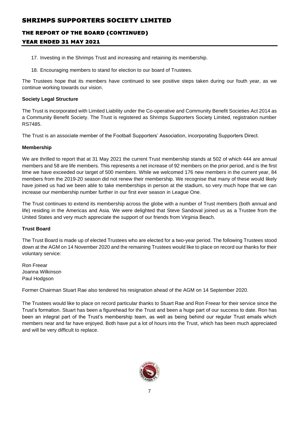# THE REPORT OF THE BOARD (CONTINUED)

### YEAR ENDED 31 MAY 2021

- 17. Investing in the Shrimps Trust and increasing and retaining its membership.
- 18. Encouraging members to stand for election to our board of Trustees.

The Trustees hope that its members have continued to see positive steps taken during our fouth year, as we continue working towards our vision.

### **Society Legal Structure**

The Trust is incorporated with Limited Liability under the Co-operative and Community Benefit Societies Act 2014 as a Community Benefit Society. The Trust is registered as Shrimps Supporters Society Limited, registration number RS7485.

The Trust is an associate member of the Football Supporters' Association, incorporating Supporters Direct.

### **Membership**

We are thrilled to report that at 31 May 2021 the current Trust membership stands at 502 of which 444 are annual members and 58 are life members. This represents a net increase of 92 members on the prior period, and is the first time we have exceeded our target of 500 members. While we welcomed 176 new members in the current year, 84 members from the 2019-20 season did not renew their membership. We recognise that many of these would likely have joined us had we been able to take memberships in person at the stadium, so very much hope that we can increase our membership number further in our first ever season in League One.

The Trust continues to extend its membership across the globe with a number of Trust members (both annual and life) residing in the Americas and Asia. We were delighted that Steve Sandoval joined us as a Trustee from the United States and very much appreciate the support of our friends from Virginia Beach.

### **Trust Board**

The Trust Board is made up of elected Trustees who are elected for a two-year period. The following Trustees stood down at the AGM on 14 November 2020 and the remaining Trustees would like to place on record our thanks for their voluntary service:

Ron Freear Joanna Wilkinson Paul Hodgson

Former Chairman Stuart Rae also tendered his resignation ahead of the AGM on 14 September 2020.

The Trustees would like to place on record particular thanks to Stuart Rae and Ron Freear for their service since the Trust's formation. Stuart has been a figurehead for the Trust and been a huge part of our success to date. Ron has been an integral part of the Trust's membership team, as well as being behind our regular Trust emails which members near and far have enjoyed. Both have put a lot of hours into the Trust, which has been much appreciated and will be very difficult to replace.

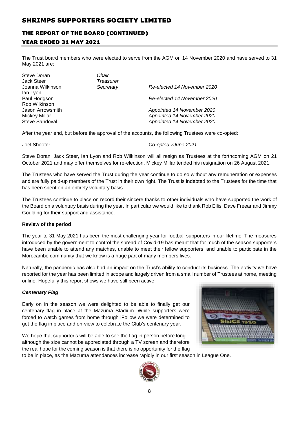# THE REPORT OF THE BOARD (CONTINUED)

### YEAR ENDED 31 MAY 2021

The Trust board members who were elected to serve from the AGM on 14 November 2020 and have served to 31 May 2021 are:

| Steve Doran<br><b>Jack Steer</b><br>Joanna Wilkinson<br>lan Lyon<br>Paul Hodgson | Chair<br>Treasurer<br>Secretary | Re-elected 14 November 2020<br>Re-elected 14 November 2020                             |
|----------------------------------------------------------------------------------|---------------------------------|----------------------------------------------------------------------------------------|
| Rob Wilkinson<br>Jason Arrowsmith<br>Mickey Millar<br>Steve Sandoval             |                                 | Appointed 14 November 2020<br>Appointed 14 November 2020<br>Appointed 14 November 2020 |

After the year end, but before the approval of the accounts, the following Trustees were co-opted:

Joel Shooter *Co-opted 7June 2021*

Steve Doran, Jack Steer, Ian Lyon and Rob Wilkinson will all resign as Trustees at the forthcoming AGM on 21 October 2021 and may offer themselves for re-election. Mickey Millar tended his resignation on 26 August 2021.

The Trustees who have served the Trust during the year continue to do so without any remuneration or expenses and are fully paid-up members of the Trust in their own right. The Trust is indebted to the Trustees for the time that has been spent on an entirely voluntary basis.

The Trustees continue to place on record their sincere thanks to other individuals who have supported the work of the Board on a voluntary basis during the year. In particular we would like to thank Rob Ellis, Dave Freear and Jimmy Goulding for their support and assistance.

### **Review of the period**

The year to 31 May 2021 has been the most challenging year for football supporters in our lifetime. The measures introduced by the government to control the spread of Covid-19 has meant that for much of the season supporters have been unable to attend any matches, unable to meet their fellow supporters, and unable to participate in the Morecambe community that we know is a huge part of many members lives.

Naturally, the pandemic has also had an impact on the Trust's ability to conduct its business. The activity we have reported for the year has been limited in scope and largely driven from a small number of Trustees at home, meeting online. Hopefully this report shows we have still been active!

### *Centenary Flag*



Early on in the season we were delighted to be able to finally get our centenary flag in place at the Mazuma Stadium. While supporters were forced to watch games from home through iFollow we were determined to get the flag in place and on-view to celebrate the Club's centenary year.

We hope that supporter's will be able to see the flag in person before long – although the size cannot be appreciated through a TV screen and therefore the real hope for the coming season is that there is no opportunity for the flag



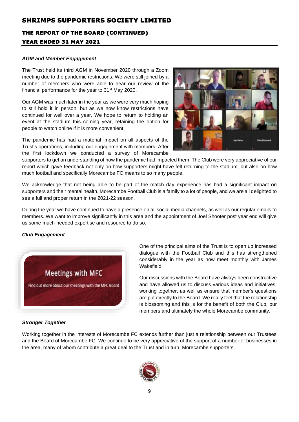# THE REPORT OF THE BOARD (CONTINUED) YEAR ENDED 31 MAY 2021

# *AGM and Member Engagement*

The Trust held its third AGM in November 2020 through a Zoom meeting due to the pandemic restrictions. We were still joined by a number of members who were able to hear our review of the financial performance for the year to 31st May 2020.

Our AGM was much later in the year as we were very much hoping to still hold it in person, but as we now know restrictions have continued for well over a year. We hope to return to holding an event at the stadium this coming year, retaining the option for people to watch online if it is more convenient.

The pandemic has had a material impact on all aspects of the Trust's operations, including our engagement with members. After the first lockdown we conducted a survey of Morecambe



supporters to get an understanding of how the pandemic had impacted them. The Club were very appreciative of our report which gave feedback not only on how supporters might have felt returning to the stadium, but also on how much football and specifically Morecambe FC means to so many people.

We acknowledge that not being able to be part of the match day experience has had a significant impact on supporters and their mental health. Morecambe Football Club is a family to a lot of people, and we are all delighted to see a full and proper return in the 2021-22 season.

During the year we have continued to have a presence on all social media channels, as well as our regular emails to members. We want to improve significantly in this area and the appointment of Joel Shooter post year end will give us some much-needed expertise and resource to do so.

### *Club Engagement*



One of the principal aims of the Trust is to open up increased dialogue with the Football Club and this has strengthened considerably in the year as now meet monthly with James Wakefield.

Our discussions with the Board have always been constructive and have allowed us to discuss various ideas and initiatives, working together, as well as ensure that member's questions are put directly to the Board. We really feel that the relationship is blossoming and this is for the benefit of both the Club, our members and ultimately the whole Morecambe community.

### *Stronger Together*

Working together in the interests of Morecambe FC extends further than just a relationship between our Trustees and the Board of Morecambe FC. We continue to be very appreciative of the support of a number of businesses in the area, many of whom contribute a great deal to the Trust and in turn, Morecambe supporters.

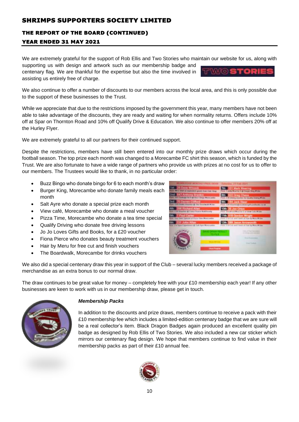# THE REPORT OF THE BOARD (CONTINUED)

### YEAR ENDED 31 MAY 2021

We are extremely grateful for the support of Rob Ellis and Two Stories who maintain our website for us, along with supporting us with design and artwork such as our membership badge and

centenary flag. We are thankful for the expertise but also the time involved in assisting us entirely free of charge.

We also continue to offer a number of discounts to our members across the local area, and this is only possible due to the support of these businesses to the Trust.

While we appreciate that due to the restrictions imposed by the government this year, many members have not been able to take advantage of the discounts, they are ready and waiting for when normality returns. Offers include 10% off at Spar on Thornton Road and 10% off Qualify Drive & Education. We also continue to offer members 20% off at the Hurley Flyer.

We are extremely grateful to all our partners for their continued support.

Despite the restrictions, members have still been entered into our monthly prize draws which occur during the football season. The top prize each month was changed to a Morecambe FC shirt this season, which is funded by the Trust. We are also fortunate to have a wide range of partners who provide us with prizes at no cost for us to offer to our members. The Trustees would like to thank, in no particular order:

- Buzz Bingo who donate bingo for 6 to each month's draw
- Burger King, Morecambe who donate family meals each month
- Salt Ayre who donate a special prize each month
- View café, Morecambe who donate a meal voucher
- Pizza Time, Morecambe who donate a tea time special
- Qualify Driving who donate free driving lessons
- Jo Jo Loves Gifts and Books, for a £20 voucher
- Fiona Pierce who donates beauty treatment vouchers
- Hair by Meru for free cut and finish vouchers
- The Boardwalk, Morecambe for drinks vouchers

We also did a special centenary draw this year in support of the Club – several lucky members received a package of merchandise as an extra bonus to our normal draw.

The draw continues to be great value for money – completely free with your £10 membership each year! If any other businesses are keen to work with us in our membership draw, please get in touch.



#### *Membership Packs*

In addition to the discounts and prize draws, members continue to receive a pack with their £10 membership fee which includes a limited-edition centenary badge that we are sure will be a real collector's item. Black Dragon Badges again produced an excellent quality pin badge as designed by Rob Ellis of Two Stories. We also included a new car sticker which mirrors our centenary flag design. We hope that members continue to find value in their membership packs as part of their £10 annual fee.



| 7th:<br><b>O1 Mark Wearing</b><br>avely Missility 9.68 Elizage King Mission                      |
|--------------------------------------------------------------------------------------------------|
| <b>Bth:</b><br><b>622 Grug Chass</b><br>Floor: 3:30 moving wouldn't fist Easiety Ellisting PFUSE |
| <b>Bth:</b><br><b>84 Jack Blow</b><br>First 139 Washington Waverspringsbanks to be               |
| 10th<br>Jon Drion<br>calculation for 2 of them Calls Winns                                       |
| 11th: 418 Gendon Wright<br>J. 10 Eat arest could at Haw by Mino M'class                          |
| <b>B Jason Arrowsmith</b><br>12th<br>Prize, 1710 Club rest Constitute Town by Monic M class      |
| the air of the company of                                                                        |
|                                                                                                  |
| <b>Street Founded</b>                                                                            |
|                                                                                                  |
|                                                                                                  |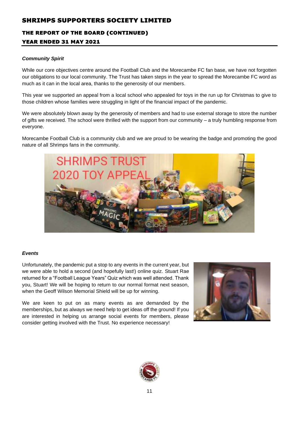# THE REPORT OF THE BOARD (CONTINUED)

### YEAR ENDED 31 MAY 2021

### *Community Spirit*

While our core objectives centre around the Football Club and the Morecambe FC fan base, we have not forgotten our obligations to our local community. The Trust has taken steps in the year to spread the Morecambe FC word as much as it can in the local area, thanks to the generosity of our members.

This year we supported an appeal from a local school who appealed for toys in the run up for Christmas to give to those children whose families were struggling in light of the financial impact of the pandemic.

We were absolutely blown away by the generosity of members and had to use external storage to store the number of gifts we received. The school were thrilled with the support from our community – a truly humbling response from everyone.

Morecambe Football Club is a community club and we are proud to be wearing the badge and promoting the good nature of all Shrimps fans in the community.



### *Events*

Unfortunately, the pandemic put a stop to any events in the current year, but we were able to hold a second (and hopefully last!) online quiz. Stuart Rae returned for a "Football League Years" Quiz which was well attended. Thank you, Stuart! We will be hoping to return to our normal format next season, when the Geoff Wilson Memorial Shield will be up for winning.

We are keen to put on as many events as are demanded by the memberships, but as always we need help to get ideas off the ground! If you are interested in helping us arrange social events for members, please consider getting involved with the Trust. No experience necessary!



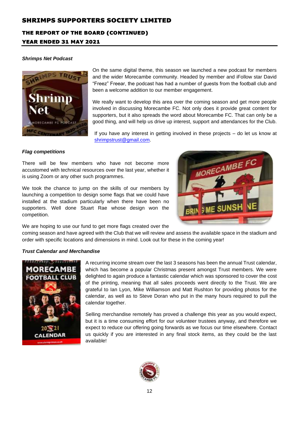# THE REPORT OF THE BOARD (CONTINUED)

### YEAR ENDED 31 MAY 2021

### *Shrimps Net Podcast*



On the same digital theme, this season we launched a new podcast for members and the wider Morecambe community. Headed by member and iFollow star David "Freez" Freear, the podcast has had a number of guests from the football club and been a welcome addition to our member engagement.

We really want to develop this area over the coming season and get more people involved in discussing Morecambe FC. Not only does it provide great content for supporters, but it also spreads the word about Morecambe FC. That can only be a good thing, and will help us drive up interest, support and attendances for the Club.

If you have any interest in getting involved in these projects – do let us know at [shrimpstrust@gmail.com.](mailto:shrimpstrust@gmail.com)

MORECAMBE FO

### *Flag competitions*

There will be few members who have not become more accustomed with technical resources over the last year, whether it is using Zoom or any other such programmes.

We took the chance to jump on the skills of our members by launching a competition to design some flags that we could have installed at the stadium particularly when there have been no supporters. Well done Stuart Rae whose design won the competition.

We are hoping to use our fund to get more flags created over the

coming season and have agreed with the Club that we will review and assess the available space in the stadium and order with specific locations and dimensions in mind. Look out for these in the coming year!

### *Trust Calendar and Merchandise*



A recurring income stream over the last 3 seasons has been the annual Trust calendar, which has become a popular Christmas present amongst Trust members. We were delighted to again produce a fantastic calendar which was sponsored to cover the cost of the printing, meaning that all sales proceeds went directly to the Trust. We are grateful to Ian Lyon, Mike Williamson and Matt Rushton for providing photos for the calendar, as well as to Steve Doran who put in the many hours required to pull the calendar together.

Selling merchandise remotely has proved a challenge this year as you would expect, but it is a time consuming effort for our volunteer trustees anyway, and therefore we expect to reduce our offering going forwards as we focus our time elsewhere. Contact us quickly if you are interested in any final stock items, as they could be the last available!

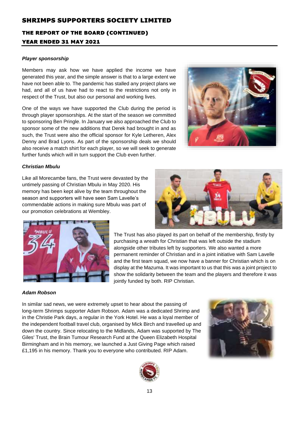# THE REPORT OF THE BOARD (CONTINUED) YEAR ENDED 31 MAY 2021

### *Player sponsorship*

Members may ask how we have applied the income we have generated this year, and the simple answer is that to a large extent we have not been able to. The pandemic has stalled any project plans we had, and all of us have had to react to the restrictions not only in respect of the Trust, but also our personal and working lives.

One of the ways we have supported the Club during the period is through player sponsorships. At the start of the season we committed to sponsoring Ben Pringle. In January we also approached the Club to sponsor some of the new additions that Derek had brought in and as such, the Trust were also the official sponsor for Kyle Letheren, Alex Denny and Brad Lyons. As part of the sponsorship deals we should also receive a match shirt for each player, so we will seek to generate further funds which will in turn support the Club even further.



### *Christian Mbulu*

Like all Morecambe fans, the Trust were devasted by the untimely passing of Christian Mbulu in May 2020. His memory has been kept alive by the team throughout the season and supporters will have seen Sam Lavelle's commendable actions in making sure Mbulu was part of our promotion celebrations at Wembley.





The Trust has also played its part on behalf of the membership, firstly by purchasing a wreath for Christian that was left outside the stadium alongside other tributes left by supporters. We also wanted a more permanent reminder of Christian and in a joint initiative with Sam Lavelle and the first team squad, we now have a banner for Christian which is on display at the Mazuma. It was important to us that this was a joint project to show the solidarity between the team and the players and therefore it was jointly funded by both. RIP Christian.

### *Adam Robson*

In similar sad news, we were extremely upset to hear about the passing of long-term Shrimps supporter Adam Robson. Adam was a dedicated Shrimp and in the Christie Park days, a regular in the York Hotel. He was a loyal member of the independent football travel club, organised by Mick Birch and travelled up and down the country. Since relocating to the Midlands, Adam was supported by The Giles' Trust, the Brain Tumour Research Fund at the Queen Elizabeth Hospital Birmingham and in his memory, we launched a Just Giving Page which raised £1,195 in his memory. Thank you to everyone who contributed. RIP Adam.



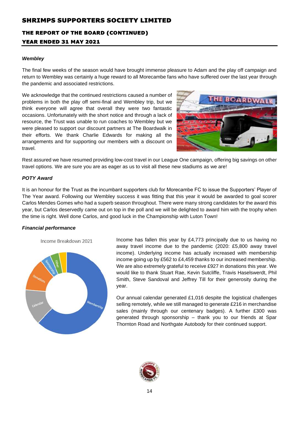# THE REPORT OF THE BOARD (CONTINUED) YEAR ENDED 31 MAY 2021

#### *Wembley*

The final few weeks of the season would have brought immense pleasure to Adam and the play off campaign and return to Wembley was certainly a huge reward to all Morecambe fans who have suffered over the last year through the pandemic and associated restrictions.

We acknowledge that the continued restrictions caused a number of problems in both the play off semi-final and Wembley trip, but we think everyone will agree that overall they were two fantastic occasions. Unfortunately with the short notice and through a lack of resource, the Trust was unable to run coaches to Wembley but we were pleased to support our discount partners at The Boardwalk in their efforts. We thank Charlie Edwards for making all the arrangements and for supporting our members with a discount on travel.



Rest assured we have resumed providing low-cost travel in our League One campaign, offering big savings on other travel options. We are sure you are as eager as us to visit all these new stadiums as we are!

### *POTY Award*

It is an honour for the Trust as the incumbant supporters club for Morecambe FC to issue the Supporters' Player of The Year award. Following our Wembley success it was fitting that this year it would be awarded to goal scorer Carlos Mendes Gomes who had a superb season throughout. There were many strong candidates for the award this year, but Carlos deservedly came out on top in the poll and we will be delighted to award him with the trophy when the time is right. Well done Carlos, and good luck in the Championship with Luton Town!

### *Financial performance*





Income has fallen this year by £4,773 principally due to us having no away travel income due to the pandemic (2020: £5,800 away travel income). Underlying income has actually increased with membership income going up by £562 to £4,459 thanks to our increased membership. We are also extremely grateful to receive £927 in donations this year. We would like to thank Stuart Rae, Kevin Sutcliffe, Travis Haselswerdt, Phil Smith, Steve Sandoval and Jeffrey Till for their generosity during the year.

Our annual calendar generated £1,016 despite the logistical challenges selling remotely, while we still managed to generate £216 in merchandise sales (mainly through our centenary badges). A further £300 was generated through sponsorship – thank you to our friends at Spar Thornton Road and Northgate Autobody for their continued support.

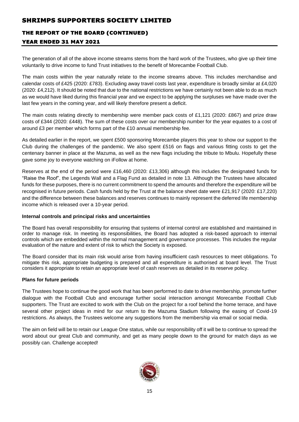# THE REPORT OF THE BOARD (CONTINUED)

### YEAR ENDED 31 MAY 2021

The generation of all of the above income streams stems from the hard work of the Trustees, who give up their time voluntarily to drive income to fund Trust initiatives to the benefit of Morecambe Football Club.

The main costs within the year naturally relate to the income streams above. This includes merchandise and calendar costs of £425 (2020: £783). Excluding away travel costs last year, expenditure is broadly similar at £4,020 (2020: £4,212). It should be noted that due to the national restrictions we have certainly not been able to do as much as we would have liked during this financial year and we expect to be applying the surpluses we have made over the last few years in the coming year, and will likely therefore present a deficit.

The main costs relating directly to membership were member pack costs of £1,121 (2020: £867) and prize draw costs of £344 (2020: £448). The sum of these costs over our membership number for the year equates to a cost of around £3 per member which forms part of the £10 annual membership fee.

As detailed earlier in the report, we spent £500 sponsoring Morecambe players this year to show our support to the Club during the challenges of the pandemic. We also spent £516 on flags and various fitting costs to get the centenary banner in place at the Mazuma, as well as the new flags including the tribute to Mbulu. Hopefully these gave some joy to everyone watching on iFollow at home.

Reserves at the end of the period were £16,460 (2020: £13,306) although this includes the designated funds for "Raise the Roof", the Legends Wall and a Flag Fund as detailed in note 13. Although the Trustees have allocated funds for these purposes, there is no current commitment to spend the amounts and therefore the expenditure will be recognised in future periods. Cash funds held by the Trust at the balance sheet date were £21,917 (2020: £17,220) and the difference between these balances and reserves continues to mainly represent the deferred life membership income which is released over a 10-year period.

### **Internal controls and principal risks and uncertainties**

The Board has overall responsibility for ensuring that systems of internal control are established and maintained in order to manage risk. In meeting its responsibilities, the Board has adopted a risk-based approach to internal controls which are embedded within the normal management and governance processes. This includes the regular evaluation of the nature and extent of risk to which the Society is exposed.

The Board consider that its main risk would arise from having insufficient cash resources to meet obligations. To mitigate this risk, appropriate budgeting is prepared and all expenditure is authorised at board level. The Trust considers it appropriate to retain an appropriate level of cash reserves as detailed in its reserve policy.

### **Plans for future periods**

The Trustees hope to continue the good work that has been performed to date to drive membership, promote further dialogue with the Football Club and encourage further social interaction amongst Morecambe Football Club supporters. The Trust are excited to work with the Club on the project for a roof behind the home terrace, and have several other project ideas in mind for our return to the Mazuma Stadium following the easing of Covid-19 restrictions. As always, the Trustees welcome any suggestions from the membership via email or social media.

The aim on field will be to retain our League One status, while our responsibility off it will be to continue to spread the word about our great Club and community, and get as many people down to the ground for match days as we possibly can. Challenge accepted!

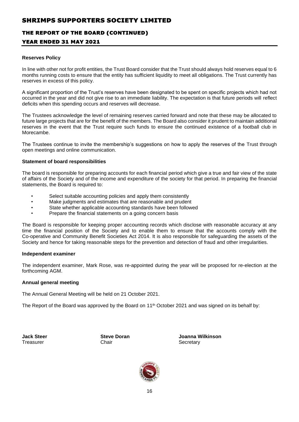### THE REPORT OF THE BOARD (CONTINUED)

### YEAR ENDED 31 MAY 2021

#### **Reserves Policy**

In line with other not for profit entities, the Trust Board consider that the Trust should always hold reserves equal to 6 months running costs to ensure that the entity has sufficient liquidity to meet all obligations. The Trust currently has reserves in excess of this policy.

A significant proportion of the Trust's reserves have been designated to be spent on specific projects which had not occurred in the year and did not give rise to an immediate liability. The expectation is that future periods will reflect deficits when this spending occurs and reserves will decrease.

The Trustees acknowledge the level of remaining reserves carried forward and note that these may be allocated to future large projects that are for the benefit of the members. The Board also consider it prudent to maintain additional reserves in the event that the Trust require such funds to ensure the continued existence of a football club in Morecambe.

The Trustees continue to invite the membership's suggestions on how to apply the reserves of the Trust through open meetings and online communication.

#### **Statement of board responsibilities**

The board is responsible for preparing accounts for each financial period which give a true and fair view of the state of affairs of the Society and of the income and expenditure of the society for that period. In preparing the financial statements, the Board is required to:

- Select suitable accounting policies and apply them consistently
- Make judgments and estimates that are reasonable and prudent
- State whether applicable accounting standards have been followed
- Prepare the financial statements on a going concern basis

The Board is responsible for keeping proper accounting records which disclose with reasonable accuracy at any time the financial position of the Society and to enable them to ensure that the accounts comply with the Co-operative and Community Benefit Societies Act 2014. It is also responsible for safeguarding the assets of the Society and hence for taking reasonable steps for the prevention and detection of fraud and other irregularities.

#### **Independent examiner**

The independent examiner, Mark Rose, was re-appointed during the year will be proposed for re-election at the forthcoming AGM.

### **Annual general meeting**

The Annual General Meeting will be held on 21 October 2021.

The Report of the Board was approved by the Board on 11<sup>th</sup> October 2021 and was signed on its behalf by:

Treasurer **Chair** Chair Chair Secretary

**Jack Steer Steve Doran Joanna Wilkinson**

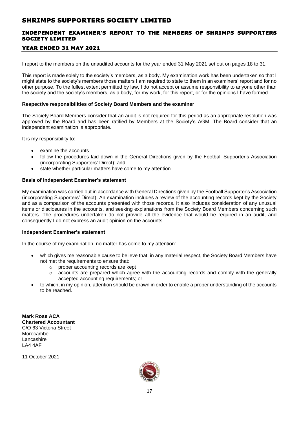### INDEPENDENT EXAMINER'S REPORT TO THE MEMBERS OF SHRIMPS SUPPORTERS SOCIETY LIMITED

### YEAR ENDED 31 MAY 2021

I report to the members on the unaudited accounts for the year ended 31 May 2021 set out on pages 18 to 31.

This report is made solely to the society's members, as a body. My examination work has been undertaken so that I might state to the society's members those matters I am required to state to them in an examiners' report and for no other purpose. To the fullest extent permitted by law, I do not accept or assume responsibility to anyone other than the society and the society's members, as a body, for my work, for this report, or for the opinions I have formed.

#### **Respective responsibilities of Society Board Members and the examiner**

The Society Board Members consider that an audit is not required for this period as an appropriate resolution was approved by the Board and has been ratified by Members at the Society's AGM. The Board consider that an independent examination is appropriate.

It is my responsibility to:

- examine the accounts
- follow the procedures laid down in the General Directions given by the Football Supporter's Association (incorporating Supporters' Direct); and
- state whether particular matters have come to my attention.

### **Basis of Independent Examiner's statement**

My examination was carried out in accordance with General Directions given by the Football Supporter's Association (incorporating Supporters' Direct). An examination includes a review of the accounting records kept by the Society and as a comparison of the accounts presented with those records. It also includes consideration of any unusual items or disclosures in the accounts, and seeking explanations from the Society Board Members concerning such matters. The procedures undertaken do not provide all the evidence that would be required in an audit, and consequently I do not express an audit opinion on the accounts.

### **Independent Examiner's statement**

In the course of my examination, no matter has come to my attention:

- which gives me reasonable cause to believe that, in any material respect, the Society Board Members have not met the requirements to ensure that:
	- o proper accounting records are kept
	- $\circ$  accounts are prepared which agree with the accounting records and comply with the generally accepted accounting requirements; or
- to which, in my opinion, attention should be drawn in order to enable a proper understanding of the accounts to be reached.

**Mark Rose ACA Chartered Accountant** C/O 63 Victoria Street Morecambe **Lancashire** LA4 4AF

11 October 2021

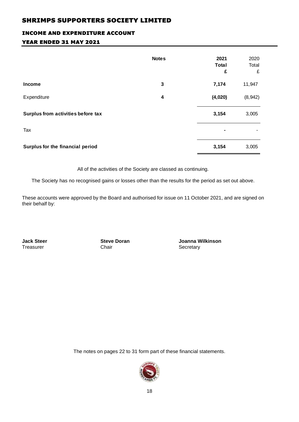# INCOME AND EXPENDITURE ACCOUNT YEAR ENDED 31 MAY 2021

|                                    | <b>Notes</b> | 2021<br><b>Total</b><br>£ | 2020<br>Total<br>£ |
|------------------------------------|--------------|---------------------------|--------------------|
| <b>Income</b>                      | 3            | 7,174                     | 11,947             |
| Expenditure                        | 4            | (4,020)                   | (8,942)            |
| Surplus from activities before tax |              | 3,154                     | 3,005              |
| Tax                                |              | ٠                         |                    |
| Surplus for the financial period   |              | 3,154                     | 3,005              |

All of the activities of the Society are classed as continuing.

The Society has no recognised gains or losses other than the results for the period as set out above.

These accounts were approved by the Board and authorised for issue on 11 October 2021, and are signed on their behalf by:

Chair Secretary

**Jack Steer Steve Doran Joanna Wilkinson**<br>
Treasurer Chair Chair Secretary

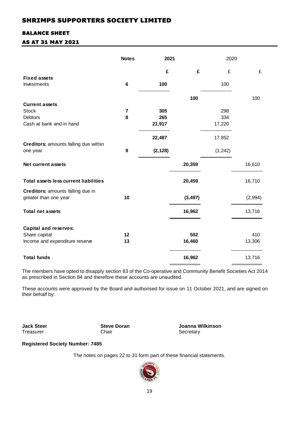### BALANCE SHEET

### AS AT 31 MAY 2021

|                                                            | <b>Notes</b>     | 2021     |          | 2020     |         |
|------------------------------------------------------------|------------------|----------|----------|----------|---------|
|                                                            |                  | £        | £        | £        | £       |
| <b>Fixed assets</b>                                        |                  |          |          |          |         |
| Investments                                                | 6                | 100      |          | 100      |         |
|                                                            |                  |          | 100      |          | 100     |
| <b>Current assets</b>                                      |                  |          |          |          |         |
| <b>Stock</b>                                               | $\overline{7}$   | 305      |          | 298      |         |
| Debtors                                                    | 8                | 265      |          | 334      |         |
| Cash at bank and in hand                                   |                  | 21,917   |          | 17,220   |         |
|                                                            |                  | 22,487   |          | 17,852   |         |
| Creditors: amounts falling due within                      |                  |          |          |          |         |
| one year                                                   | $\boldsymbol{9}$ | (2, 128) |          | (1, 242) |         |
| <b>Net current assets</b>                                  |                  |          | 20,359   |          | 16,610  |
| <b>Total assets less current liabilities</b>               |                  |          | 20,459   |          | 16,710  |
| Creditors: amounts falling due in<br>greater than one year | 10               |          | (3, 497) |          | (2,994) |
| <b>Total net assets</b>                                    |                  |          | 16,962   |          | 13,716  |
| <b>Capital and reserves:</b>                               |                  |          |          |          |         |
| Share capital                                              | 12               |          | 502      |          | 410     |
| Income and expenditure reserve                             | 13               |          | 16,460   |          | 13,306  |
| <b>Total funds</b>                                         |                  |          | 16,962   |          | 13,716  |
|                                                            |                  |          |          |          |         |

The members have opted to disapply section 83 of the Co-operative and Community Benefit Societies Act 2014 as prescribed in Section 84 and therefore these accounts are unaudited.

These accounts were approved by the Board and authorised for issue on 11 October 2021, and are signed on their behalf by:

Chair Secretary

**Jack Steer Steve Doran Joanna Wilkinson** 

### **Registered Society Number: 7485**

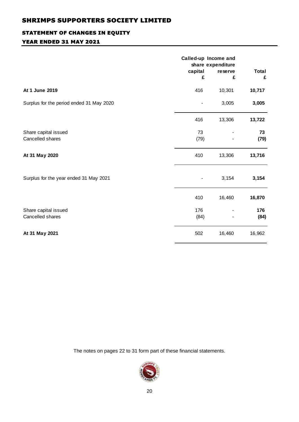### STATEMENT OF CHANGES IN EQUITY

### YEAR ENDED 31 MAY 2021

|                                          | capital<br>£ | Called-up Income and<br>share expenditure<br>reserve<br>£ | <b>Total</b><br>£ |
|------------------------------------------|--------------|-----------------------------------------------------------|-------------------|
| At 1 June 2019                           | 416          | 10,301                                                    | 10,717            |
| Surplus for the period ended 31 May 2020 |              | 3,005                                                     | 3,005             |
|                                          | 416          | 13,306                                                    | 13,722            |
| Share capital issued<br>Cancelled shares | 73<br>(79)   |                                                           | 73<br>(79)        |
| At 31 May 2020                           | 410          | 13,306                                                    | 13,716            |
| Surplus for the year ended 31 May 2021   |              | 3,154                                                     | 3,154             |
|                                          | 410          | 16,460                                                    | 16,870            |
| Share capital issued<br>Cancelled shares | 176<br>(84)  |                                                           | 176<br>(84)       |
| At 31 May 2021                           | 502          | 16,460                                                    | 16,962            |

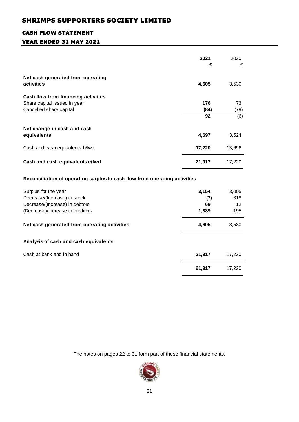### CASH FLOW STATEMENT

# YEAR ENDED 31 MAY 2021

|                                                                            | 2021<br>£ | 2020<br>£ |
|----------------------------------------------------------------------------|-----------|-----------|
|                                                                            |           |           |
| Net cash generated from operating                                          |           |           |
| activities                                                                 | 4,605     | 3,530     |
| Cash flow from financing activities                                        |           |           |
| Share capital issued in year                                               | 176       | 73        |
| Cancelled share capital                                                    | (84)      | (79)      |
|                                                                            | 92        | (6)       |
| Net change in cash and cash                                                |           |           |
| equivalents                                                                | 4,697     | 3,524     |
| Cash and cash equivalents b/fwd                                            | 17,220    | 13,696    |
| Cash and cash equivalents c/fwd                                            | 21,917    | 17,220    |
| Reconciliation of operating surplus to cash flow from operating activities |           |           |
| Surplus for the year                                                       | 3,154     | 3,005     |
| Decrease/(Increase) in stock                                               | (7)       | 318       |
| Decrease/(Increase) in debtors                                             | 69        | 12        |
| (Decrease)/Increase in creditors                                           | 1,389     | 195       |
| Net cash generated from operating activities                               | 4,605     | 3,530     |
| Analysis of cash and cash equivalents                                      |           |           |
| Cash at bank and in hand                                                   | 21,917    | 17,220    |
|                                                                            | 21,917    | 17,220    |
|                                                                            |           |           |

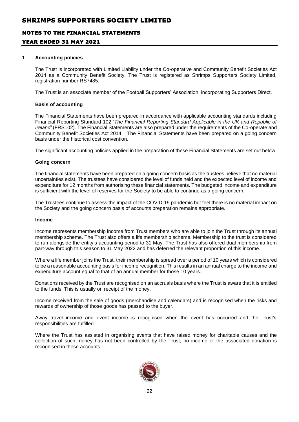### NOTES TO THE FINANCIAL STATEMENTS

### YEAR ENDED 31 MAY 2021

#### **1 Accounting policies**

The Trust is incorporated with Limited Liability under the Co-operative and Community Benefit Societies Act 2014 as a Community Benefit Society. The Trust is registered as Shrimps Supporters Society Limited, registration number RS7485.

The Trust is an associate member of the Football Supporters' Association, incorporating Supporters Direct.

#### **Basis of accounting**

The Financial Statements have been prepared in accordance with applicable accounting standards including Financial Reporting Standard 102 '*The Financial Reporting Standard Applicable in the UK and Republic of Ireland'* (FRS102). The Financial Statements are also prepared under the requirements of the Co-operate and Community Benefit Societies Act 2014. The Financial Statements have been prepared on a going concern basis under the historical cost convention.

The significant accounting policies applied in the preparation of these Financial Statements are set out below.

#### **Going concern**

The financial statements have been prepared on a going concern basis as the trustees believe that no material uncertainties exist. The trustees have considered the level of funds held and the expected level of income and expenditure for 12 months from authorising these financial statements. The budgeted income and expenditure is sufficient with the level of reserves for the Society to be able to continue as a going concern.

The Trustees continue to assess the impact of the COVID-19 pandemic but feel there is no material impact on the Society and the going concern basis of accounts preparation remains appropriate.

#### **Income**

Income represents membership income from Trust members who are able to join the Trust through its annual membership scheme. The Trust also offers a life membership scheme. Membership to the trust is considered to run alongside the entity's accounting period to 31 May. The Trust has also offered dual membership from part-way through this season to 31 May 2022 and has deferred the relevant proportion of this income.

Where a life member joins the Trust, their membership is spread over a period of 10 years which is considered to be a reasonable accounting basis for income recognition. This results in an annual charge to the income and expenditure account equal to that of an annual member for those 10 years.

Donations received by the Trust are recognised on an accruals basis where the Trust is aware that it is entitled to the funds. This is usually on receipt of the money.

Income received from the sale of goods (merchandise and calendars) and is recognised when the risks and rewards of ownership of those goods has passed to the buyer.

Away travel income and event income is recognised when the event has occurred and the Trust's responsibilities are fulfilled.

Where the Trust has assisted in organising events that have raised money for charitable causes and the collection of such money has not been controlled by the Trust, no income or the associated donation is recognised in these accounts.

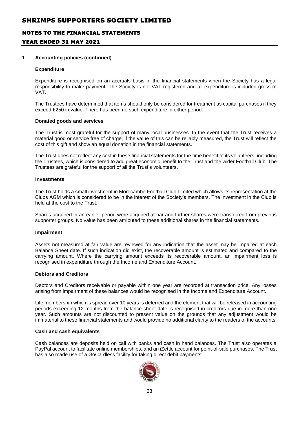### NOTES TO THE FINANCIAL STATEMENTS

### YEAR ENDED 31 MAY 2021

#### **1 Accounting policies (continued)**

#### **Expenditure**

Expenditure is recognised on an accruals basis in the financial statements when the Society has a legal responsibility to make payment. The Society is not VAT registered and all expenditure is included gross of VAT.

The Trustees have determined that items should only be considered for treatment as capital purchases if they exceed £250 in value. There has been no such expenditure in either period.

#### **Donated goods and services**

The Trust is most grateful for the support of many local businesses. In the event that the Trust receives a material good or service free of charge, if the value of this can be reliably measured, the Trust will reflect the cost of this gift and show an equal donation in the financial statements.

The Trust does not reflect any cost in these financial statements for the time benefit of its volunteers, including the Trustees, which is considered to add great economic benefit to the Trust and the wider Football Club. The Trustees are grateful for the support of all the Trust's volunteers.

#### **Investments**

The Trust holds a small investment in Morecambe Football Club Limited which allows its representation at the Clubs AGM which is considered to be in the interest of the Society's members. The investment in the Club is held at the cost to the Trust.

Shares acquired in an earlier period were acquired at par and further shares were transferred from previous supporter groups. No value has been attributed to these additional shares in the financial statements.

#### **Impairment**

Assets not measured at fair value are reviewed for any indication that the asset may be impaired at each Balance Sheet date. If such indication did exist, the recoverable amount is estimated and compared to the carrying amount. Where the carrying amount exceeds its recoverable amount, an impairment loss is recognised in expenditure through the Income and Expenditure Account.

### **Debtors and Creditors**

Debtors and Creditors receivable or payable within one year are recorded at transaction price. Any losses arising from impairment of these balances would be recognised in the Income and Expenditure Account.

Life membership which is spread over 10 years is deferred and the element that will be released in accounting periods exceeding 12 months from the balance sheet date is recognised in creditors due in more than one year. Such amounts are not discounted to present value on the grounds that any adjustment would be immaterial to these financial statements and would provide no additional clarity to the readers of the accounts.

#### **Cash and cash equivalents**

Cash balances are deposits held on call with banks and cash in hand balances. The Trust also operates a PayPal account to facilitate online memberships, and an iZettle account for point-of-sale purchases. The Trust has also made use of a GoCardless facility for taking direct debit payments.

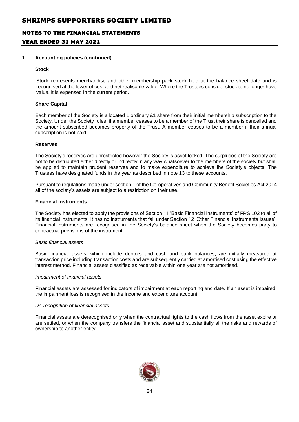### NOTES TO THE FINANCIAL STATEMENTS

### YEAR ENDED 31 MAY 2021

#### **1 Accounting policies (continued)**

#### **Stock**

Stock represents merchandise and other membership pack stock held at the balance sheet date and is recognised at the lower of cost and net realisable value. Where the Trustees consider stock to no longer have value, it is expensed in the current period.

#### **Share Capital**

Each member of the Society is allocated 1 ordinary £1 share from their initial membership subscription to the Society. Under the Society rules, if a member ceases to be a member of the Trust their share is cancelled and the amount subscribed becomes property of the Trust. A member ceases to be a member if their annual subscription is not paid.

#### **Reserves**

The Society's reserves are unrestricted however the Society is asset locked. The surpluses of the Society are not to be distributed either directly or indirectly in any way whatsoever to the members of the society but shall be applied to maintain prudent reserves and to make expenditure to achieve the Society's objects. The Trustees have designated funds in the year as described in note 13 to these accounts.

Pursuant to regulations made under section 1 of the Co-operatives and Community Benefit Societies Act 2014 all of the society's assets are subject to a restriction on their use.

#### **Financial instruments**

The Society has elected to apply the provisions of Section 11 'Basic Financial Instruments' of FRS 102 to all of its financial instruments. It has no instruments that fall under Section 12 'Other Financial Instruments Issues'. Financial instruments are recognised in the Society's balance sheet when the Society becomes party to contractual provisions of the instrument.

#### *Basic financial assets*

Basic financial assets, which include debtors and cash and bank balances, are initially measured at transaction price including transaction costs and are subsequently carried at amortised cost using the effective interest method. Financial assets classified as receivable within one year are not amortised.

#### *Impairment of financial assets*

Financial assets are assessed for indicators of impairment at each reporting end date. If an asset is impaired, the impairment loss is recognised in the income and expenditure account.

#### *De-recognition of financial assets*

Financial assets are derecognised only when the contractual rights to the cash flows from the asset expire or are settled, or when the company transfers the financial asset and substantially all the risks and rewards of ownership to another entity.

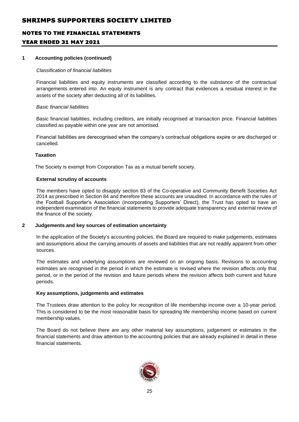# NOTES TO THE FINANCIAL STATEMENTS YEAR ENDED 31 MAY 2021

#### **1 Accounting policies (continued)**

#### *Classification of financial liabilities*

Financial liabilities and equity instruments are classified according to the substance of the contractual arrangements entered into. An equity instrument is any contract that evidences a residual interest in the assets of the society after deducting all of its liabilities.

#### *Basic financial liabilities*

Basic financial liabilities, including creditors, are initially recognised at transaction price. Financial liabilities classified as payable within one year are not amortised.

Financial liabilities are derecognised when the company's contractual obligations expire or are discharged or cancelled.

#### **Taxation**

The Society is exempt from Corporation Tax as a mutual benefit society.

#### **External scrutiny of accounts**

The members have opted to disapply section 83 of the Co-operative and Community Benefit Societies Act 2014 as prescribed in Section 84 and therefore these accounts are unaudited. In accordance with the rules of the Football Supporter's Association (incorporating Supporters' Direct), the Trust has opted to have an independent examination of the financial statements to provide adequate transparency and external review of the finance of the society.

#### **2 Judgements and key sources of estimation uncertainty**

In the application of the Society's accounting policies, the Board are required to make judgements, estimates and assumptions about the carrying amounts of assets and liabilities that are not readily apparent from other sources.

The estimates and underlying assumptions are reviewed on an ongoing basis. Revisions to accounting estimates are recognised in the period in which the estimate is revised where the revision affects only that period, or in the period of the revision and future periods where the revision affects both current and future periods.

### **Key assumptions, judgements and estimates**

The Trustees draw attention to the policy for recognition of life membership income over a 10-year period. This is considered to be the most reasonable basis for spreading life membership income based on current membership values.

The Board do not believe there are any other material key assumptions, judgement or estimates in the financial statements and draw attention to the accounting policies that are already explained in detail in these financial statements.

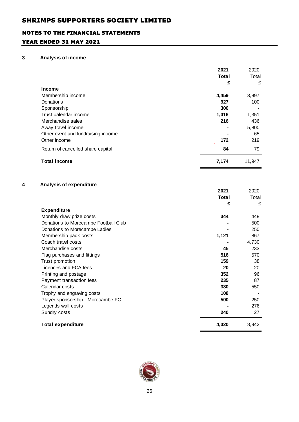### NOTES TO THE FINANCIAL STATEMENTS

### YEAR ENDED 31 MAY 2021

### **3 Analysis of income**

|   |                                      | 2021         | 2020   |
|---|--------------------------------------|--------------|--------|
|   |                                      | <b>Total</b> | Total  |
|   |                                      | £            | £      |
|   | Income                               |              |        |
|   | Membership income                    | 4,459        | 3,897  |
|   | Donations                            | 927          | 100    |
|   | Sponsorship                          | 300          |        |
|   | Trust calendar income                | 1,016        | 1,351  |
|   | Merchandise sales                    | 216          | 436    |
|   | Away travel income                   |              | 5,800  |
|   | Other event and fundraising income   |              | 65     |
|   | Other income                         | 172          | 219    |
|   | Return of cancelled share capital    | 84           | 79     |
|   | <b>Total income</b>                  | 7,174        | 11,947 |
| 4 | Analysis of expenditure              |              |        |
|   |                                      | 2021         | 2020   |
|   |                                      | <b>Total</b> | Total  |
|   |                                      | £            | £      |
|   | <b>Expenditure</b>                   |              |        |
|   | Monthly draw prize costs             | 344          | 448    |
|   | Donations to Morecambe Football Club |              | 500    |
|   | Donations to Morecambe Ladies        |              | 250    |
|   | Membership pack costs                | 1,121        | 867    |
|   | Coach travel costs                   |              | 4,730  |
|   | Merchandise costs                    | 45           | 233    |
|   | Flag purchases and fittings          | 516          | 570    |
|   | Trust promotion                      | 159          | 38     |
|   | Licences and FCA fees                | 20           | 20     |
|   | Printing and postage                 | 352          | 96     |
|   | Payment transaction fees             | 235          | 87     |



Calendar costs **380** 550 Trophy and engraving costs **108** - Player sponsorship - Morecambe FC **500** 250 Legends wall costs **-** 276 Sundry costs **240** 27

**Total expenditure 4,020** 8,942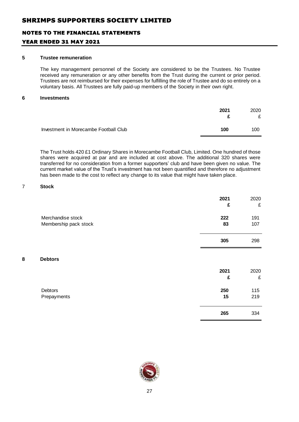### NOTES TO THE FINANCIAL STATEMENTS

### YEAR ENDED 31 MAY 2021

#### **5 Trustee remuneration**

The key management personnel of the Society are considered to be the Trustees. No Trustee received any remuneration or any other benefits from the Trust during the current or prior period. Trustees are not reimbursed for their expenses for fulfilling the role of Trustee and do so entirely on a voluntary basis. All Trustees are fully paid-up members of the Society in their own right.

#### **6 Investments**

|                                       | 2021 | 2020<br>£ |
|---------------------------------------|------|-----------|
| Investment in Morecambe Football Club | 100  | 100       |

The Trust holds 420 £1 Ordinary Shares in Morecambe Football Club, Limited. One hundred of those shares were acquired at par and are included at cost above. The additional 320 shares were transferred for no consideration from a former supporters' club and have been given no value. The current market value of the Trust's investment has not been quantified and therefore no adjustment has been made to the cost to reflect any change to its value that might have taken place.

#### 7 **Stock**

|                       | 2021<br>£ | 2020<br>£ |
|-----------------------|-----------|-----------|
| Merchandise stock     | 222       | 191       |
| Membership pack stock | 83        | 107       |
|                       | 305       | 298       |

#### **8 Debtors**

|                        | 2021<br>£ | 2020<br>£  |
|------------------------|-----------|------------|
| Debtors<br>Prepayments | 250<br>15 | 115<br>219 |
|                        | 265       | 334        |

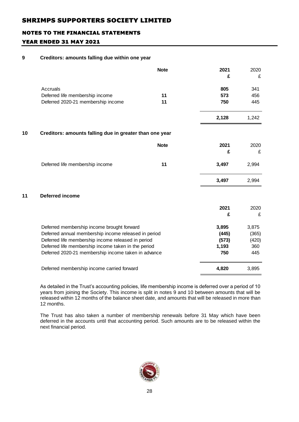# NOTES TO THE FINANCIAL STATEMENTS YEAR ENDED 31 MAY 2021

### **9 Creditors: amounts falling due within one year**

|    |                                                         | <b>Note</b> | 2021<br>£ | 2020<br>£ |  |  |
|----|---------------------------------------------------------|-------------|-----------|-----------|--|--|
|    | Accruals                                                |             | 805       | 341       |  |  |
|    | Deferred life membership income                         | 11          | 573       | 456       |  |  |
|    | Deferred 2020-21 membership income                      | 11          | 750       | 445       |  |  |
|    |                                                         |             | 2,128     | 1,242     |  |  |
| 10 | Creditors: amounts falling due in greater than one year |             |           |           |  |  |
|    |                                                         | <b>Note</b> | 2021      | 2020      |  |  |
|    |                                                         |             | £         | £         |  |  |
|    | Deferred life membership income                         | 11          | 3,497     | 2,994     |  |  |
|    |                                                         |             | 3,497     | 2,994     |  |  |
| 11 | <b>Deferred income</b>                                  |             |           |           |  |  |
|    |                                                         |             | 2021      | 2020      |  |  |
|    |                                                         |             | £         | £         |  |  |
|    | Deferred membership income brought forward              |             | 3,895     | 3,875     |  |  |
|    | Deferred annual membership income released in period    |             | (445)     | (365)     |  |  |
|    | Deferred life membership income released in period      |             | (573)     | (420)     |  |  |
|    | Deferred life membership income taken in the period     |             | 1,193     | 360       |  |  |
|    | Deferred 2020-21 membership income taken in advance     |             | 750       | 445       |  |  |
|    | Deferred membership income carried forward              |             | 4,820     | 3,895     |  |  |

As detailed in the Trust's accounting policies, life membership income is deferred over a period of 10 years from joining the Society. This income is split in notes 9 and 10 between amounts that will be released within 12 months of the balance sheet date, and amounts that will be released in more than 12 months.

The Trust has also taken a number of membership renewals before 31 May which have been deferred in the accounts until that accounting period. Such amounts are to be released within the next financial period.

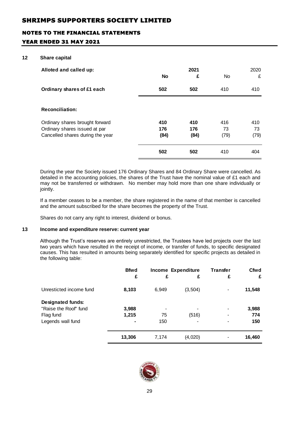### NOTES TO THE FINANCIAL STATEMENTS

### YEAR ENDED 31 MAY 2021

#### **12 Share capital**

| Alloted and called up:                                                                               | No                 | 2021<br>£          | No                | 2020<br>£         |
|------------------------------------------------------------------------------------------------------|--------------------|--------------------|-------------------|-------------------|
| Ordinary shares of £1 each                                                                           | 502                | 502                | 410               | 410               |
| <b>Reconciliation:</b>                                                                               |                    |                    |                   |                   |
| Ordinary shares brought forward<br>Ordinary shares issued at par<br>Cancelled shares during the year | 410<br>176<br>(84) | 410<br>176<br>(84) | 416<br>73<br>(79) | 410<br>73<br>(79) |
|                                                                                                      | 502                | 502                | 410               | 404               |

During the year the Society issued 176 Ordinary Shares and 84 Ordinary Share were cancelled. As detailed in the accounting policies, the shares of the Trust have the nominal value of £1 each and may not be transferred or withdrawn. No member may hold more than one share individually or jointly.

If a member ceases to be a member, the share registered in the name of that member is cancelled and the amount subscribed for the share becomes the property of the Trust.

Shares do not carry any right to interest, dividend or bonus.

#### **13 Income and expenditure reserve: current year**

Although the Trust's reserves are entirely unrestricted, the Trustees have led projects over the last two years which have resulted in the receipt of income, or transfer of funds, to specific designated causes. This has resulted in amounts being separately identified for specific projects as detailed in the following table:

|                          | <b>Bfwd</b> | Income Expenditure |          | <b>Transfer</b> | <b>Cfwd</b> |
|--------------------------|-------------|--------------------|----------|-----------------|-------------|
|                          | £           | £                  | £        | £               | £           |
| Unresticted income fund  | 8,103       | 6,949              | (3, 504) |                 | 11,548      |
| <b>Designated funds:</b> |             |                    |          |                 |             |
| "Raise the Roof" fund    | 3,988       |                    |          |                 | 3,988       |
| Flag fund                | 1,215       | 75                 | (516)    |                 | 774         |
| Legends wall fund        |             | 150                |          | 150             |             |
|                          | 13,306      | 7,174              | (4,020)  |                 | 16,460      |

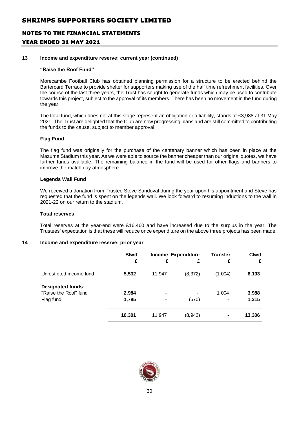# NOTES TO THE FINANCIAL STATEMENTS YEAR ENDED 31 MAY 2021

#### **13 Income and expenditure reserve: current year (continued)**

#### **"Raise the Roof Fund"**

Morecambe Football Club has obtained planning permission for a structure to be erected behind the Bartercard Terrace to provide shelter for supporters making use of the half time refreshment facilities. Over the course of the last three years, the Trust has sought to generate funds which may be used to contribute towards this project, subject to the approval of its members. There has been no movement in the fund during the year.

The total fund, which does not at this stage represent an obligation or a liability, stands at £3,988 at 31 May 2021. The Trust are delighted that the Club are now progressing plans and are still committed to contributing the funds to the cause, subject to member approval.

#### **Flag Fund**

The flag fund was originally for the purchase of the centenary banner which has been in place at the Mazuma Stadium this year. As we were able to source the banner cheaper than our original quotes, we have further funds available. The remaining balance in the fund will be used for other flags and banners to improve the match day atmosphere.

#### **Legends Wall Fund**

We received a donation from Trustee Steve Sandoval during the year upon his appointment and Steve has requested that the fund is spent on the legends wall. We look forward to resuming inductions to the wall in 2021-22 on our return to the stadium.

#### **Total reserves**

Total reserves at the year-end were £16,460 and have increased due to the surplus in the year. The Trustees' expectation is that these will reduce once expenditure on the above three projects has been made.

### **14 Income and expenditure reserve: prior year**

|                                                                | <b>Bfwd</b><br>£ | £         | <b>Income Expenditure</b><br>£ | <b>Transfer</b><br>£ | Cfwd<br>£      |
|----------------------------------------------------------------|------------------|-----------|--------------------------------|----------------------|----------------|
| Unresticted income fund                                        | 5,532            | 11,947    | (8, 372)                       | (1,004)              | 8,103          |
| <b>Designated funds:</b><br>"Raise the Roof" fund<br>Flag fund | 2,984<br>1,785   | $\,$<br>- | -<br>(570)                     | 1,004                | 3,988<br>1,215 |
|                                                                | 10,301           | 11,947    | (8, 942)                       | -                    | 13,306         |